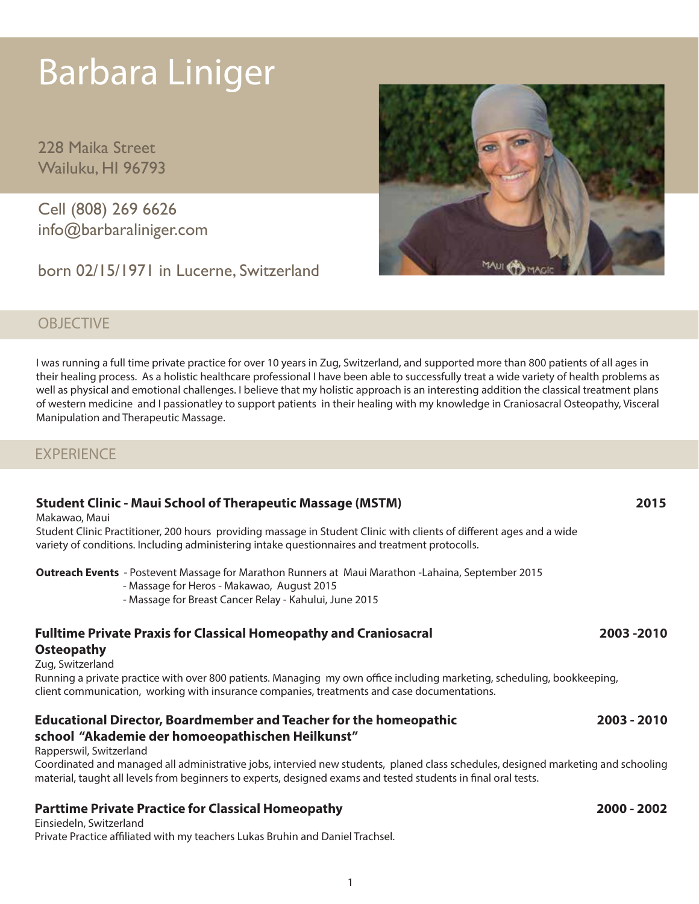# Barbara Liniger

228 Maika Street Wailuku, HI 96793

Cell (808) 269 6626 info@barbaraliniger.com

born 02/15/1971 in Lucerne, Switzerland

# **OBJECTIVE**

I was running a full time private practice for over 10 years in Zug, Switzerland, and supported more than 800 patients of all ages in their healing process. As a holistic healthcare professional I have been able to successfully treat a wide variety of health problems as well as physical and emotional challenges. I believe that my holistic approach is an interesting addition the classical treatment plans of western medicine and I passionatley to support patients in their healing with my knowledge in Craniosacral Osteopathy, Visceral Manipulation and Therapeutic Massage.

# **EXPERIENCE**

# **Student Clinic - Maui School of Therapeutic Massage (MSTM) 2015**

Makawao, Maui

Student Clinic Practitioner, 200 hours providing massage in Student Clinic with clients of different ages and a wide variety of conditions. Including administering intake questionnaires and treatment protocolls.

**Outreach Events** - Postevent Massage for Marathon Runners at Maui Marathon -Lahaina, September 2015

- Massage for Heros Makawao, August 2015
- Massage for Breast Cancer Relay Kahului, June 2015

# **Fulltime Private Praxis for Classical Homeopathy and Craniosacral 2003 -2010 Osteopathy**

### Zug, Switzerland

Running a private practice with over 800 patients. Managing my own office including marketing, scheduling, bookkeeping, client communication, working with insurance companies, treatments and case documentations.

# **Educational Director, Boardmember and Teacher for the homeopathic 2003 - 2010**

# **school "Akademie der homoeopathischen Heilkunst"**

### Rapperswil, Switzerland

Coordinated and managed all administrative jobs, intervied new students, planed class schedules, designed marketing and schooling material, taught all levels from beginners to experts, designed exams and tested students in final oral tests.

# **Parttime Private Practice for Classical Homeopathy 2000 - 2002**

Einsiedeln, Switzerland Private Practice affiliated with my teachers Lukas Bruhin and Daniel Trachsel.

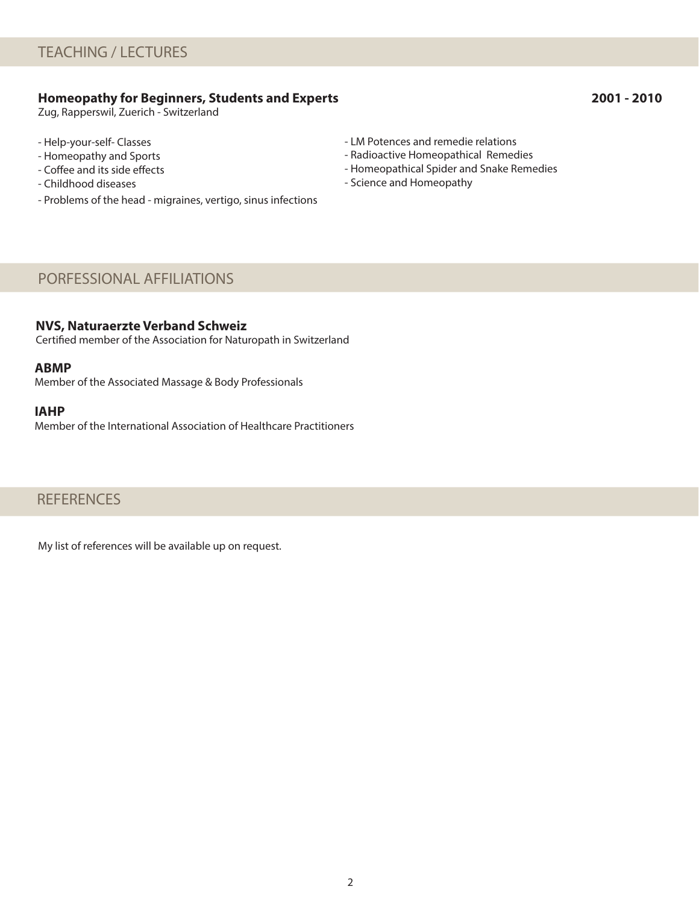# **Homeopathy for Beginners, Students and Experts 2001 - 2010**

Zug, Rapperswil, Zuerich - Switzerland

- Help-your-self- Classes
- Homeopathy and Sports
- Coffee and its side effects
- Childhood diseases
- Problems of the head migraines, vertigo, sinus infections
- LM Potences and remedie relations
- Radioactive Homeopathical Remedies
- Homeopathical Spider and Snake Remedies
- Science and Homeopathy

# PORFESSIONAL AFFILIATIONS

### **NVS, Naturaerzte Verband Schweiz**

Certified member of the Association for Naturopath in Switzerland

### **ABMP**

Member of the Associated Massage & Body Professionals

### **IAHP**

Member of the International Association of Healthcare Practitioners

# **REFERENCES**

My list of references will be available up on request.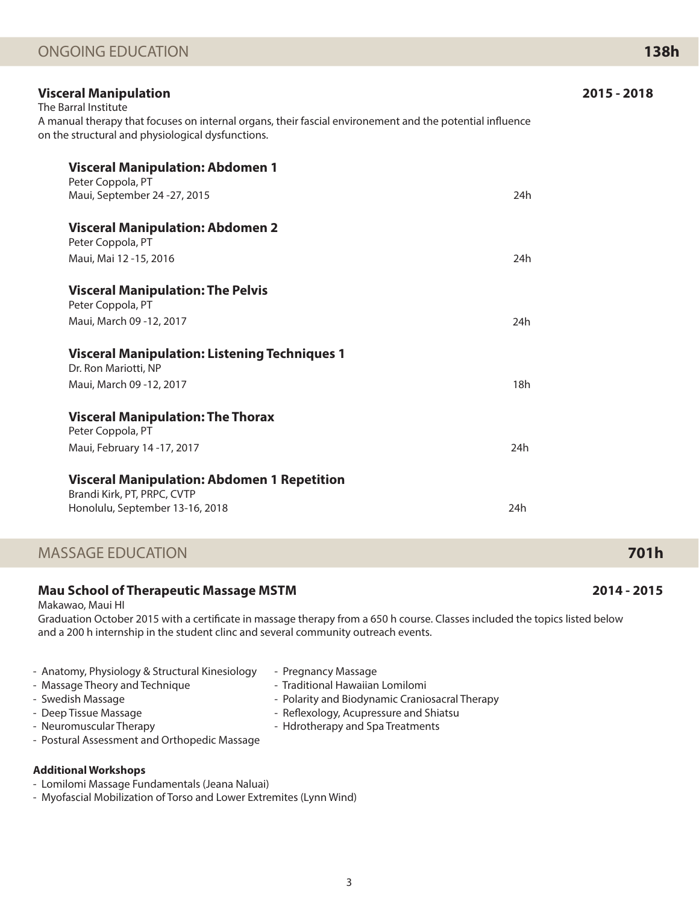| <b>Visceral Manipulation</b><br>The Barral Institute                                                                                                          |     | 2015 - 2018 |
|---------------------------------------------------------------------------------------------------------------------------------------------------------------|-----|-------------|
| A manual therapy that focuses on internal organs, their fascial environement and the potential influence<br>on the structural and physiological dysfunctions. |     |             |
| <b>Visceral Manipulation: Abdomen 1</b>                                                                                                                       |     |             |
| Peter Coppola, PT<br>Maui, September 24 - 27, 2015                                                                                                            | 24h |             |
| <b>Visceral Manipulation: Abdomen 2</b><br>Peter Coppola, PT                                                                                                  |     |             |
| Maui, Mai 12 -15, 2016                                                                                                                                        | 24h |             |
| <b>Visceral Manipulation: The Pelvis</b><br>Peter Coppola, PT                                                                                                 |     |             |
| Maui, March 09 - 12, 2017                                                                                                                                     | 24h |             |
| <b>Visceral Manipulation: Listening Techniques 1</b><br>Dr. Ron Mariotti, NP                                                                                  |     |             |
| Maui, March 09 - 12, 2017                                                                                                                                     | 18h |             |
| <b>Visceral Manipulation: The Thorax</b><br>Peter Coppola, PT                                                                                                 |     |             |
| Maui, February 14-17, 2017                                                                                                                                    | 24h |             |
| <b>Visceral Manipulation: Abdomen 1 Repetition</b><br>Brandi Kirk, PT, PRPC, CVTP                                                                             |     |             |
| Honolulu, September 13-16, 2018                                                                                                                               | 24h |             |
|                                                                                                                                                               |     |             |

# MASSAGE EDUCATION **701h**

# **Mau School of Therapeutic Massage MSTM 2014 - 2015**

Makawao, Maui HI

Graduation October 2015 with a certificate in massage therapy from a 650 h course. Classes included the topics listed below and a 200 h internship in the student clinc and several community outreach events.

| - Anatomy, Physiology & Structural Kinesiology<br>- Massage Theory and Technique<br>- Swedish Massage<br>- Deep Tissue Massage<br>- Neuromuscular Therapy<br>- Postural Assessment and Orthopedic Massage | - Pregnancy Massage<br>- Traditional Hawaiian Lomilomi<br>- Polarity and Biodynamic Craniosacral Therapy<br>- Reflexology, Acupressure and Shiatsu<br>- Hdrotherapy and Spa Treatments |
|-----------------------------------------------------------------------------------------------------------------------------------------------------------------------------------------------------------|----------------------------------------------------------------------------------------------------------------------------------------------------------------------------------------|
|-----------------------------------------------------------------------------------------------------------------------------------------------------------------------------------------------------------|----------------------------------------------------------------------------------------------------------------------------------------------------------------------------------------|

## **Additional Workshops**

- Lomilomi Massage Fundamentals (Jeana Naluai)
- Myofascial Mobilization of Torso and Lower Extremites (Lynn Wind)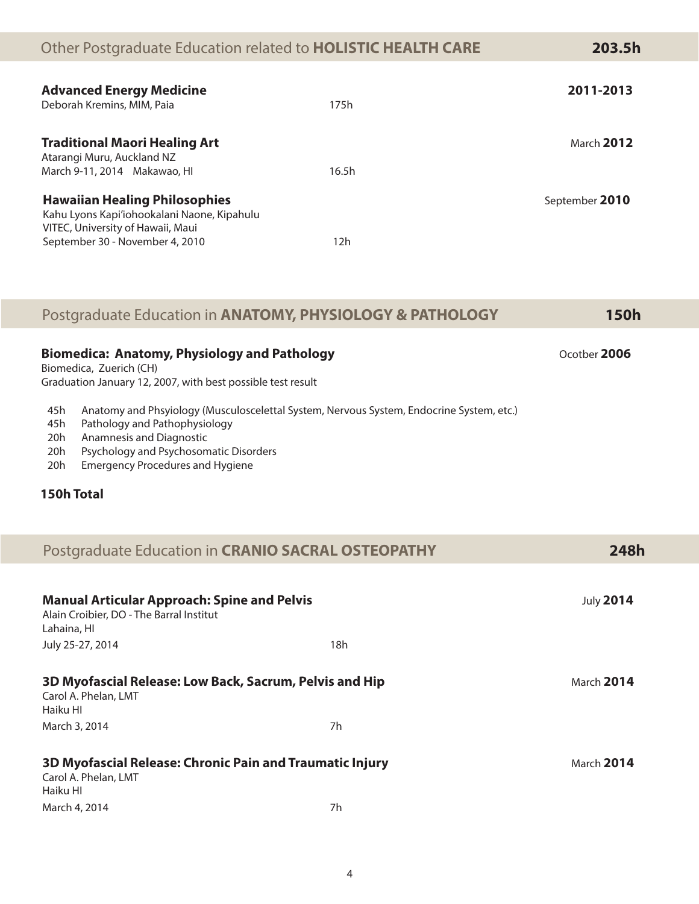# Other Postgraduate Education related to **HOLISTIC HEALTH CARE 203.5h**

| <b>Advanced Energy Medicine</b><br>Deborah Kremins, MIM, Paia                                                                                               | 175h  | 2011-2013         |
|-------------------------------------------------------------------------------------------------------------------------------------------------------------|-------|-------------------|
| <b>Traditional Maori Healing Art</b><br>Atarangi Muru, Auckland NZ<br>March 9-11, 2014 Makawao, HI                                                          | 16.5h | <b>March 2012</b> |
| <b>Hawaiian Healing Philosophies</b><br>Kahu Lyons Kapi'iohookalani Naone, Kipahulu<br>VITEC, University of Hawaii, Maui<br>September 30 - November 4, 2010 | 12h   | September 2010    |

# Postgraduate Education in **ANATOMY, PHYSIOLOGY & PATHOLOGY 150h**

|     | <b>Biomedica: Anatomy, Physiology and Pathology</b><br>Biomedica, Zuerich (CH)           | Ocotber 2006 |
|-----|------------------------------------------------------------------------------------------|--------------|
|     | Graduation January 12, 2007, with best possible test result                              |              |
| 45h | Anatomy and Phsyiology (Musculoscelettal System, Nervous System, Endocrine System, etc.) |              |
| 45h | Pathology and Pathophysiology                                                            |              |
| 20h | Anamnesis and Diagnostic                                                                 |              |
|     |                                                                                          |              |

- 20h Psychology and Psychosomatic Disorders
- 20h Emergency Procedures and Hygiene

# **150h Total**

|                                                                                                               | Postgraduate Education in CRANIO SACRAL OSTEOPATHY | 248h             |
|---------------------------------------------------------------------------------------------------------------|----------------------------------------------------|------------------|
|                                                                                                               |                                                    |                  |
| <b>Manual Articular Approach: Spine and Pelvis</b><br>Alain Croibier, DO - The Barral Institut<br>Lahaina, HI |                                                    | <b>July 2014</b> |
| July 25-27, 2014                                                                                              | 18h                                                |                  |
| 3D Myofascial Release: Low Back, Sacrum, Pelvis and Hip<br>Carol A. Phelan, LMT<br>Haiku HI                   |                                                    | March 2014       |
| March 3, 2014                                                                                                 | 7h                                                 |                  |
| 3D Myofascial Release: Chronic Pain and Traumatic Injury<br>Carol A. Phelan, LMT<br>Haiku HI                  |                                                    | March 2014       |
| March 4, 2014                                                                                                 | 7h                                                 |                  |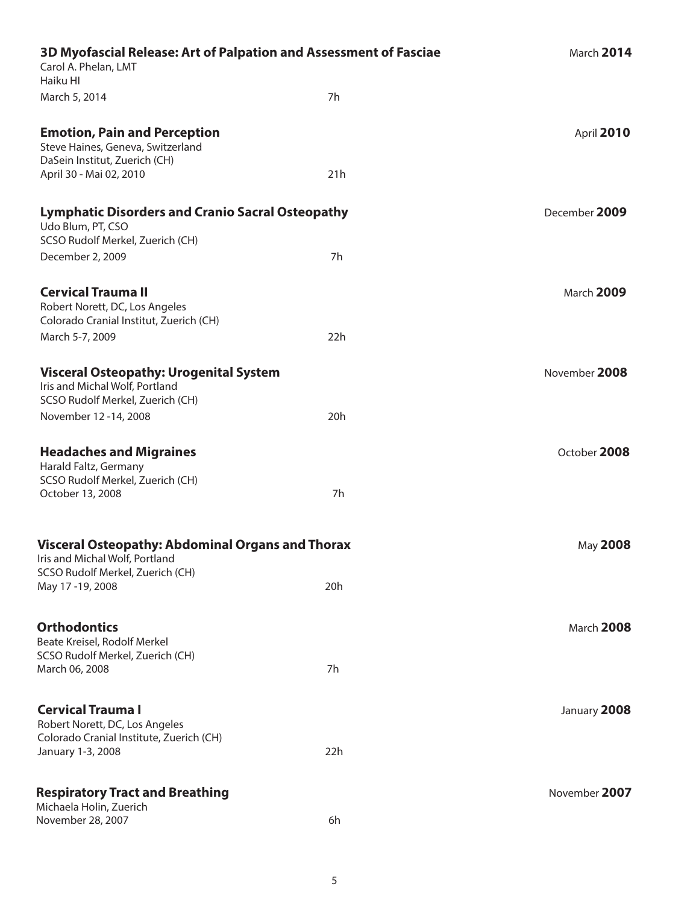| 3D Myofascial Release: Art of Palpation and Assessment of Fasciae<br>Carol A. Phelan, LMT<br>Haiku HI               |     | March 2014        |  |
|---------------------------------------------------------------------------------------------------------------------|-----|-------------------|--|
| March 5, 2014                                                                                                       | 7h  |                   |  |
| <b>Emotion, Pain and Perception</b><br>Steve Haines, Geneva, Switzerland                                            |     | April 2010        |  |
| DaSein Institut, Zuerich (CH)<br>April 30 - Mai 02, 2010                                                            | 21h |                   |  |
| <b>Lymphatic Disorders and Cranio Sacral Osteopathy</b><br>Udo Blum, PT, CSO<br>SCSO Rudolf Merkel, Zuerich (CH)    |     | December 2009     |  |
| December 2, 2009                                                                                                    | 7h  |                   |  |
| <b>Cervical Trauma II</b><br>Robert Norett, DC, Los Angeles<br>Colorado Cranial Institut, Zuerich (CH)              |     | March 2009        |  |
| March 5-7, 2009                                                                                                     | 22h |                   |  |
| <b>Visceral Osteopathy: Urogenital System</b><br>Iris and Michal Wolf, Portland<br>SCSO Rudolf Merkel, Zuerich (CH) |     | November 2008     |  |
| November 12 -14, 2008                                                                                               | 20h |                   |  |
| <b>Headaches and Migraines</b><br>Harald Faltz, Germany<br>SCSO Rudolf Merkel, Zuerich (CH)                         |     | October 2008      |  |
| October 13, 2008                                                                                                    | 7h  |                   |  |
| <b>Visceral Osteopathy: Abdominal Organs and Thorax</b><br>Iris and Michal Wolf, Portland                           |     | May 2008          |  |
| SCSO Rudolf Merkel, Zuerich (CH)<br>May 17-19, 2008                                                                 | 20h |                   |  |
| <b>Orthodontics</b><br>Beate Kreisel, Rodolf Merkel                                                                 |     | <b>March 2008</b> |  |
| SCSO Rudolf Merkel, Zuerich (CH)<br>March 06, 2008                                                                  | 7h  |                   |  |
| <b>Cervical Trauma I</b><br>Robert Norett, DC, Los Angeles                                                          |     | January 2008      |  |
| Colorado Cranial Institute, Zuerich (CH)<br>January 1-3, 2008                                                       | 22h |                   |  |
| <b>Respiratory Tract and Breathing</b>                                                                              |     | November 2007     |  |
| Michaela Holin, Zuerich<br>November 28, 2007                                                                        | 6h  |                   |  |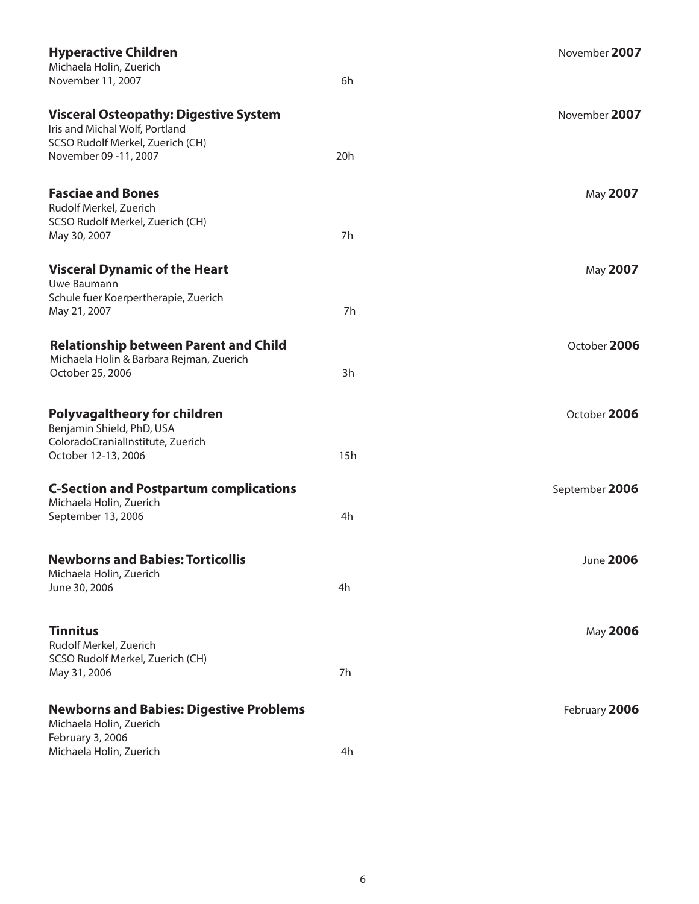| <b>Hyperactive Children</b><br>Michaela Holin, Zuerich                                                             |     | November 2007  |
|--------------------------------------------------------------------------------------------------------------------|-----|----------------|
| November 11, 2007                                                                                                  | 6h  |                |
| <b>Visceral Osteopathy: Digestive System</b><br>Iris and Michal Wolf, Portland<br>SCSO Rudolf Merkel, Zuerich (CH) |     | November 2007  |
| November 09 -11, 2007                                                                                              | 20h |                |
| <b>Fasciae and Bones</b><br>Rudolf Merkel, Zuerich                                                                 |     | May 2007       |
| SCSO Rudolf Merkel, Zuerich (CH)<br>May 30, 2007                                                                   | 7h  |                |
| <b>Visceral Dynamic of the Heart</b><br>Uwe Baumann                                                                |     | May 2007       |
| Schule fuer Koerpertherapie, Zuerich<br>May 21, 2007                                                               | 7h  |                |
| <b>Relationship between Parent and Child</b><br>Michaela Holin & Barbara Rejman, Zuerich<br>October 25, 2006       | 3h  | October 2006   |
|                                                                                                                    |     |                |
| <b>Polyvagaltheory for children</b><br>Benjamin Shield, PhD, USA<br>ColoradoCranialInstitute, Zuerich              |     | October 2006   |
| October 12-13, 2006                                                                                                | 15h |                |
| <b>C-Section and Postpartum complications</b><br>Michaela Holin, Zuerich                                           |     | September 2006 |
| September 13, 2006                                                                                                 | 4h  |                |
| <b>Newborns and Babies: Torticollis</b><br>Michaela Holin, Zuerich                                                 |     | June 2006      |
| June 30, 2006                                                                                                      | 4h  |                |
| <b>Tinnitus</b><br>Rudolf Merkel, Zuerich                                                                          |     | May 2006       |
| SCSO Rudolf Merkel, Zuerich (CH)<br>May 31, 2006                                                                   | 7h  |                |
| <b>Newborns and Babies: Digestive Problems</b><br>Michaela Holin, Zuerich                                          |     | February 2006  |
| February 3, 2006<br>Michaela Holin, Zuerich                                                                        | 4h  |                |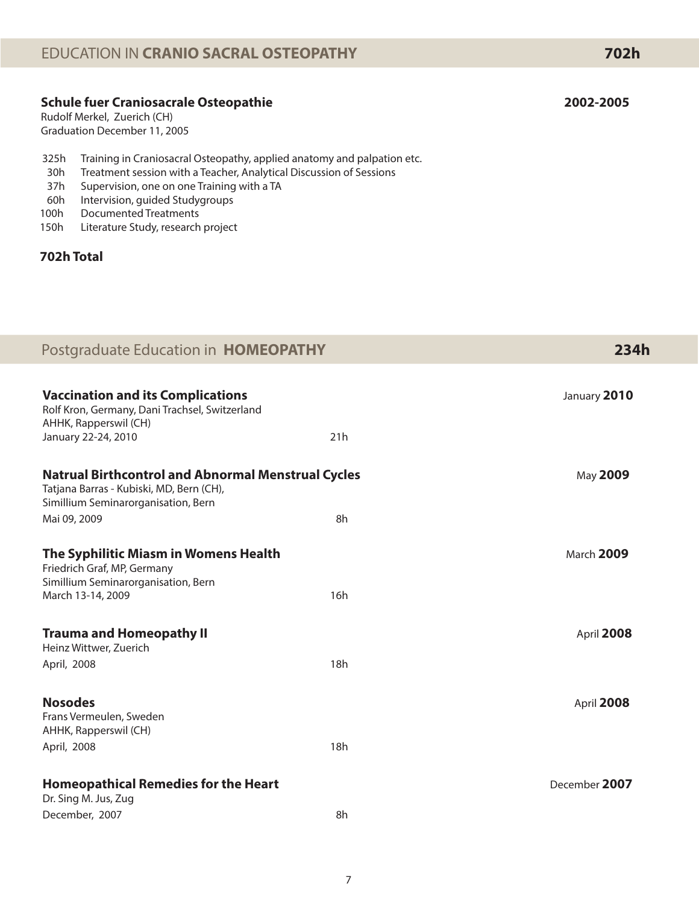# **Schule fuer Craniosacrale Osteopathie 2002-2005**

Rudolf Merkel, Zuerich (CH) Graduation December 11, 2005

- 325h Training in Craniosacral Osteopathy, applied anatomy and palpation etc.
- 30h Treatment session with a Teacher, Analytical Discussion of Sessions
- 37h Supervision, one on one Training with a TA
- 60h Intervision, guided Studygroups
- 100h Documented Treatments
- 150h Literature Study, research project

# **702h Total**

| Postgraduate Education in HOMEOPATHY                                                                                                         |     | 234h          |
|----------------------------------------------------------------------------------------------------------------------------------------------|-----|---------------|
| <b>Vaccination and its Complications</b><br>Rolf Kron, Germany, Dani Trachsel, Switzerland<br>AHHK, Rapperswil (CH)                          |     | January 2010  |
| January 22-24, 2010                                                                                                                          | 21h |               |
| <b>Natrual Birthcontrol and Abnormal Menstrual Cycles</b><br>Tatjana Barras - Kubiski, MD, Bern (CH),<br>Simillium Seminarorganisation, Bern |     | May 2009      |
| Mai 09, 2009                                                                                                                                 | 8h  |               |
| The Syphilitic Miasm in Womens Health<br>Friedrich Graf, MP, Germany<br>Simillium Seminarorganisation, Bern                                  |     | March 2009    |
| March 13-14, 2009                                                                                                                            | 16h |               |
| <b>Trauma and Homeopathy II</b><br>Heinz Wittwer, Zuerich                                                                                    |     | April 2008    |
| April, 2008                                                                                                                                  | 18h |               |
| <b>Nosodes</b><br>Frans Vermeulen, Sweden<br>AHHK, Rapperswil (CH)                                                                           |     | April 2008    |
| April, 2008                                                                                                                                  | 18h |               |
| <b>Homeopathical Remedies for the Heart</b><br>Dr. Sing M. Jus, Zug                                                                          |     | December 2007 |
| December, 2007                                                                                                                               | 8h  |               |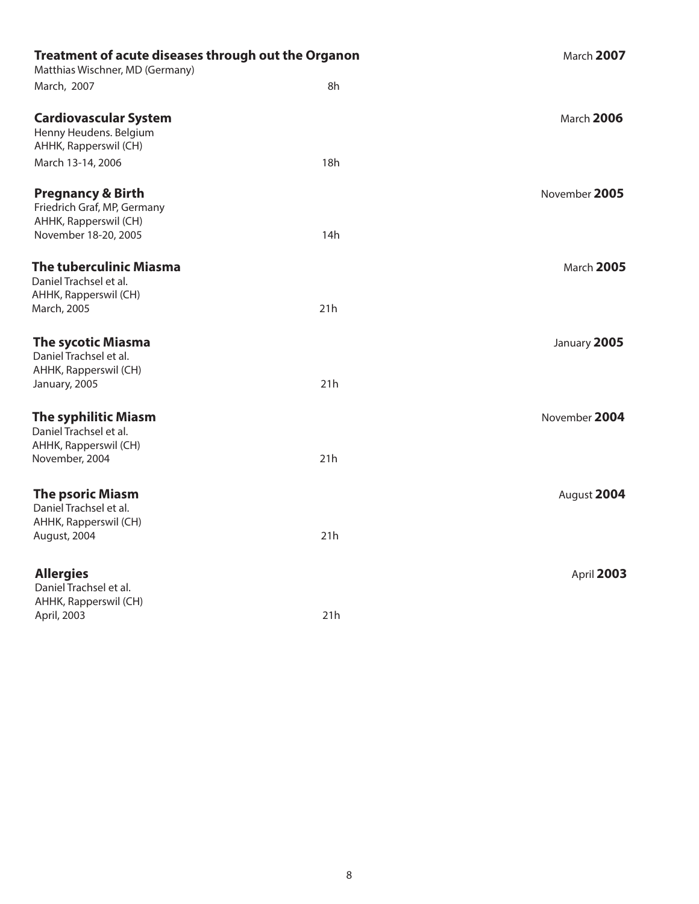| Treatment of acute diseases through out the Organon<br>Matthias Wischner, MD (Germany) |     | March 2007    |
|----------------------------------------------------------------------------------------|-----|---------------|
| March, 2007                                                                            | 8h  |               |
| <b>Cardiovascular System</b><br>Henny Heudens. Belgium<br>AHHK, Rapperswil (CH)        |     | March 2006    |
| March 13-14, 2006                                                                      | 18h |               |
| <b>Pregnancy &amp; Birth</b><br>Friedrich Graf, MP, Germany<br>AHHK, Rapperswil (CH)   |     | November 2005 |
| November 18-20, 2005                                                                   | 14h |               |
| <b>The tuberculinic Miasma</b><br>Daniel Trachsel et al.<br>AHHK, Rapperswil (CH)      |     | March 2005    |
| March, 2005                                                                            | 21h |               |
| <b>The sycotic Miasma</b><br>Daniel Trachsel et al.<br>AHHK, Rapperswil (CH)           |     | January 2005  |
| January, 2005                                                                          | 21h |               |
| <b>The syphilitic Miasm</b><br>Daniel Trachsel et al.<br>AHHK, Rapperswil (CH)         |     | November 2004 |
| November, 2004                                                                         | 21h |               |
| <b>The psoric Miasm</b><br>Daniel Trachsel et al.                                      |     | August 2004   |
| AHHK, Rapperswil (CH)<br>August, 2004                                                  | 21h |               |
|                                                                                        |     |               |
| <b>Allergies</b><br>Daniel Trachsel et al.                                             |     | April 2003    |
| AHHK, Rapperswil (CH)<br>April, 2003                                                   | 21h |               |